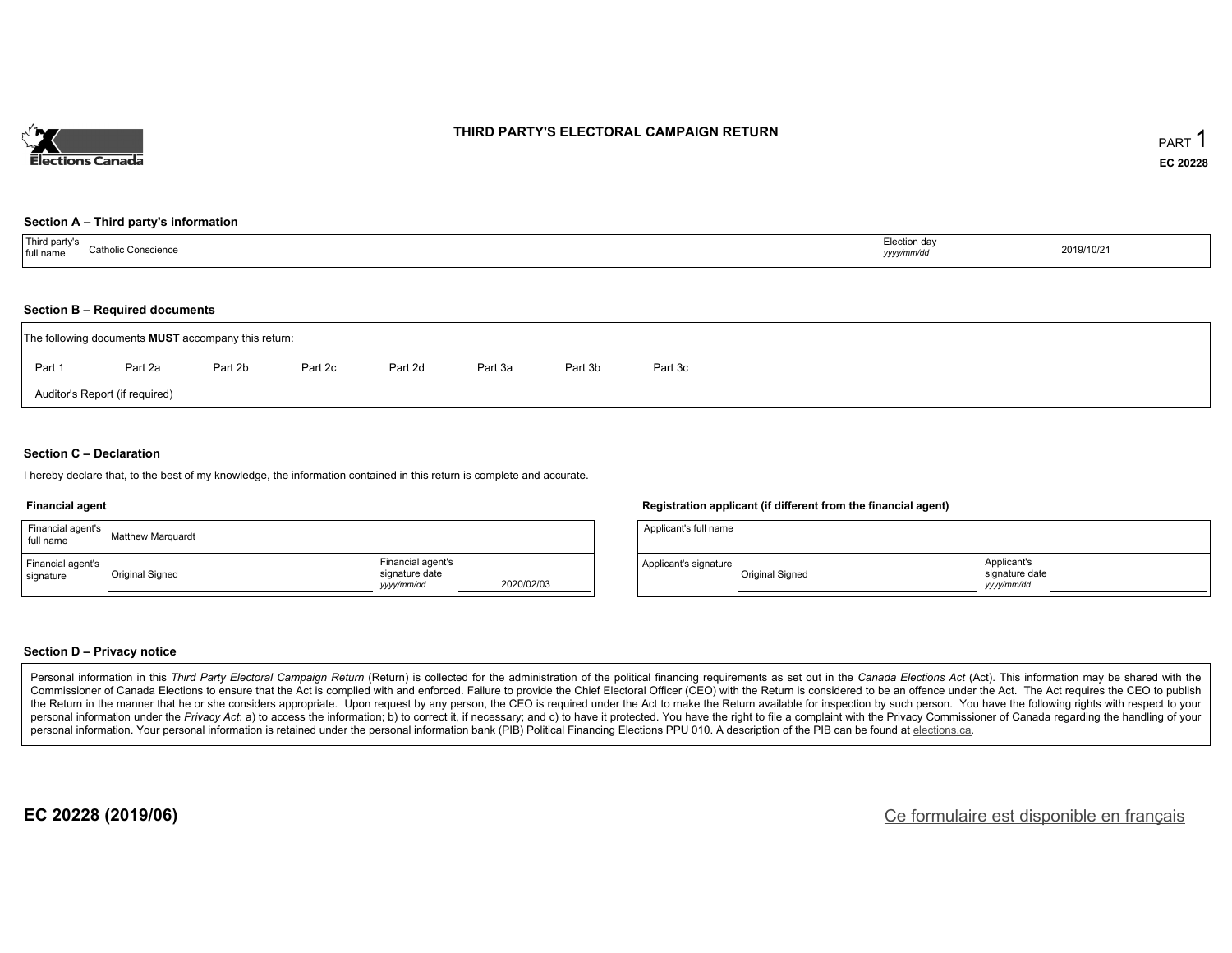

#### **THIRD PARTY'S ELECTORAL CAMPAIGN RETURN**

#### **Section A – Third party's information**

| Third party's<br><b>Catholic Conscience</b><br>full name<br>$\sim$ $\sim$ | Election day<br>2019/10/21<br>yyyy/mm/dd |  |
|---------------------------------------------------------------------------|------------------------------------------|--|
|---------------------------------------------------------------------------|------------------------------------------|--|

#### **Section B – Required documents**

| The following documents <b>MUST</b> accompany this return: |         |         |         |         |         |         |         |  |  |  |  |
|------------------------------------------------------------|---------|---------|---------|---------|---------|---------|---------|--|--|--|--|
| Part 1                                                     | Part 2a | Part 2b | Part 2c | Part 2d | Part 3a | Part 3b | Part 3c |  |  |  |  |
| Auditor's Report (if required)                             |         |         |         |         |         |         |         |  |  |  |  |

#### **Section C – Declaration**

I hereby declare that, to the best of my knowledge, the information contained in this return is complete and accurate.

#### **Financial agent**

| Financial agent's<br>full name | <b>Matthew Marguardt</b> |                                                   |            |
|--------------------------------|--------------------------|---------------------------------------------------|------------|
| Financial agent's<br>signature | Original Signed          | Financial agent's<br>signature date<br>yyyy/mm/dd | 2020/02/03 |

#### **Registration applicant (if different from the financial agent)**

| Applicant's full name |                 |                                            |  |
|-----------------------|-----------------|--------------------------------------------|--|
| Applicant's signature | Original Signed | Applicant's<br>signature date<br>vyy/mm/dd |  |

#### **Section D – Privacy notice**

Personal information in this Third Party Electoral Campaign Return (Return) is collected for the administration of the political financing requirements as set out in the Canada Elections Act (Act). This information may be Commissioner of Canada Elections to ensure that the Act is complied with and enforced. Failure to provide the Chief Electoral Officer (CEO) with the Return is considered to be an offence under the Act. The Act requires the the Return in the manner that he or she considers appropriate. Upon request by any person, the CEO is required under the Act to make the Return available for inspection by such person. You have the following rights with re personal information under the Privacy Act: a) to access the information; b) to correct it, if necessary; and c) to have it protected. You have the right to file a complaint with the Privacy Commissioner of Canada regardin personal information. Your personal information is retained under the personal information bank (PIB) Political Financing Elections PPU 010. A description of the PIB can be found at elections.ca.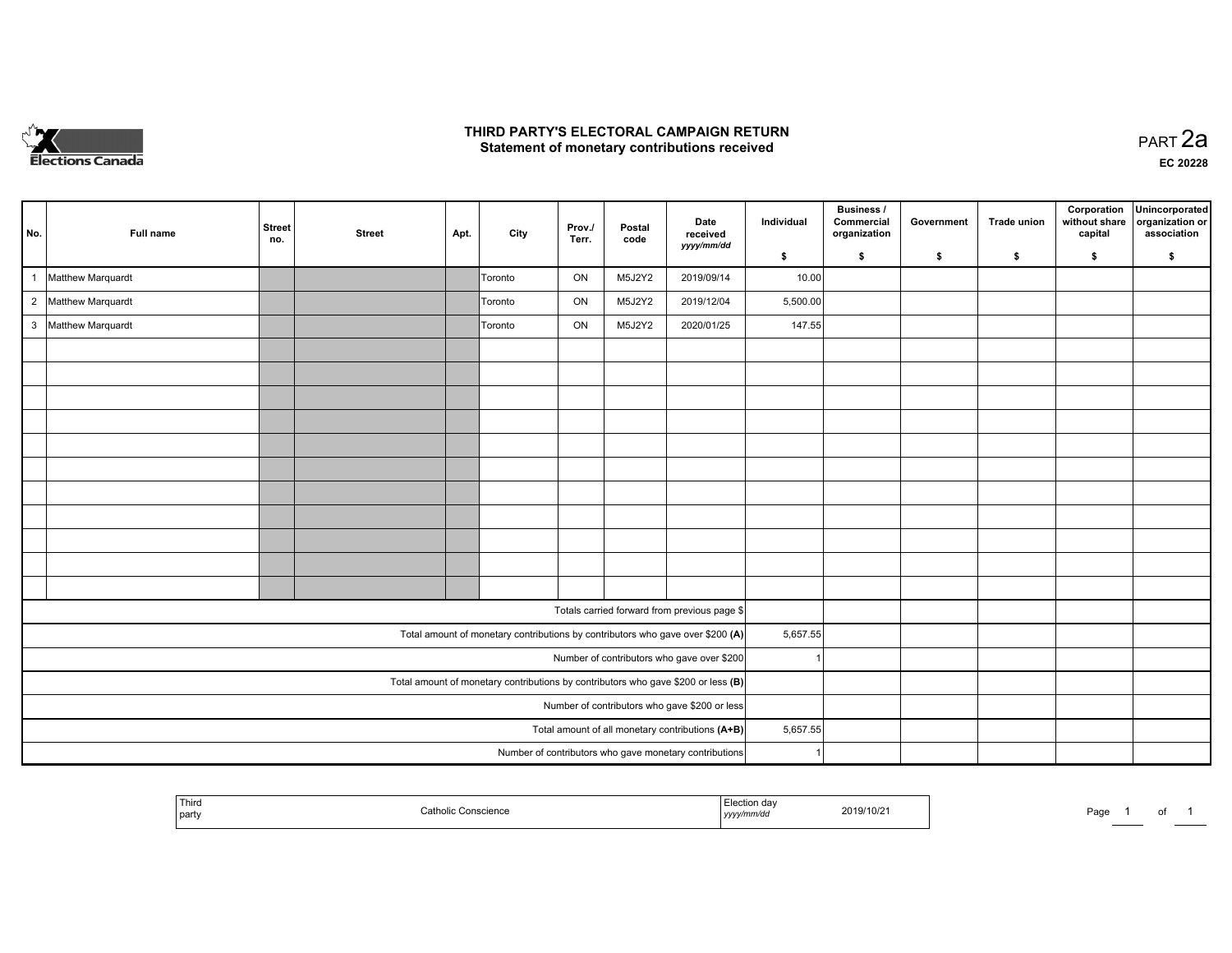

#### **THIRD PARTY'S ELECTORAL CAMPAIGN RETURN HIRD PARTY'S ELECTORAL CAMPAIGN RETURN<br>Statement of monetary contributions received PART 2a PART 2a**

**EC 20228**

| No.                                        | Full name                                                                         | <b>Street</b><br>no.                             | <b>Street</b> | Apt. | City    | Prov./<br>Terr. | Postal<br>code | Date<br>received<br>yyyy/mm/dd                                                 | Individual | <b>Business /</b><br>Commercial<br>organization | Government | <b>Trade union</b> | Corporation<br>without share<br>capital | Unincorporated<br>organization or<br>association |
|--------------------------------------------|-----------------------------------------------------------------------------------|--------------------------------------------------|---------------|------|---------|-----------------|----------------|--------------------------------------------------------------------------------|------------|-------------------------------------------------|------------|--------------------|-----------------------------------------|--------------------------------------------------|
|                                            |                                                                                   |                                                  |               |      |         |                 |                |                                                                                | \$         | s.                                              | \$         | S.                 | \$                                      | S.                                               |
| $\mathbf{1}$                               | Matthew Marquardt                                                                 |                                                  |               |      | Toronto | ON              | M5J2Y2         | 2019/09/14                                                                     | 10.00      |                                                 |            |                    |                                         |                                                  |
|                                            | 2 Matthew Marquardt                                                               |                                                  |               |      | Toronto | ON              | M5J2Y2         | 2019/12/04                                                                     | 5,500.00   |                                                 |            |                    |                                         |                                                  |
|                                            | 3 Matthew Marquardt                                                               |                                                  |               |      | Toronto | ON              | M5J2Y2         | 2020/01/25                                                                     | 147.55     |                                                 |            |                    |                                         |                                                  |
|                                            |                                                                                   |                                                  |               |      |         |                 |                |                                                                                |            |                                                 |            |                    |                                         |                                                  |
|                                            |                                                                                   |                                                  |               |      |         |                 |                |                                                                                |            |                                                 |            |                    |                                         |                                                  |
|                                            |                                                                                   |                                                  |               |      |         |                 |                |                                                                                |            |                                                 |            |                    |                                         |                                                  |
|                                            |                                                                                   |                                                  |               |      |         |                 |                |                                                                                |            |                                                 |            |                    |                                         |                                                  |
|                                            |                                                                                   |                                                  |               |      |         |                 |                |                                                                                |            |                                                 |            |                    |                                         |                                                  |
|                                            |                                                                                   |                                                  |               |      |         |                 |                |                                                                                |            |                                                 |            |                    |                                         |                                                  |
|                                            |                                                                                   |                                                  |               |      |         |                 |                |                                                                                |            |                                                 |            |                    |                                         |                                                  |
|                                            |                                                                                   |                                                  |               |      |         |                 |                |                                                                                |            |                                                 |            |                    |                                         |                                                  |
|                                            |                                                                                   |                                                  |               |      |         |                 |                |                                                                                |            |                                                 |            |                    |                                         |                                                  |
|                                            |                                                                                   |                                                  |               |      |         |                 |                |                                                                                |            |                                                 |            |                    |                                         |                                                  |
|                                            |                                                                                   |                                                  |               |      |         |                 |                |                                                                                |            |                                                 |            |                    |                                         |                                                  |
|                                            |                                                                                   |                                                  |               |      |         |                 |                | Totals carried forward from previous page \$                                   |            |                                                 |            |                    |                                         |                                                  |
|                                            |                                                                                   |                                                  |               |      |         |                 |                | Total amount of monetary contributions by contributors who gave over \$200 (A) | 5,657.55   |                                                 |            |                    |                                         |                                                  |
| Number of contributors who gave over \$200 |                                                                                   |                                                  |               |      |         |                 |                |                                                                                |            |                                                 |            |                    |                                         |                                                  |
|                                            | Total amount of monetary contributions by contributors who gave \$200 or less (B) |                                                  |               |      |         |                 |                |                                                                                |            |                                                 |            |                    |                                         |                                                  |
|                                            | Number of contributors who gave \$200 or less                                     |                                                  |               |      |         |                 |                |                                                                                |            |                                                 |            |                    |                                         |                                                  |
|                                            |                                                                                   | Total amount of all monetary contributions (A+B) | 5,657.55      |      |         |                 |                |                                                                                |            |                                                 |            |                    |                                         |                                                  |
|                                            |                                                                                   |                                                  |               |      |         |                 |                | Number of contributors who gave monetary contributions                         |            |                                                 |            |                    |                                         |                                                  |

|  | <sup>'</sup> Third<br>party |  | yyyy | :019/10/ | Page |  | . . |  |
|--|-----------------------------|--|------|----------|------|--|-----|--|
|--|-----------------------------|--|------|----------|------|--|-----|--|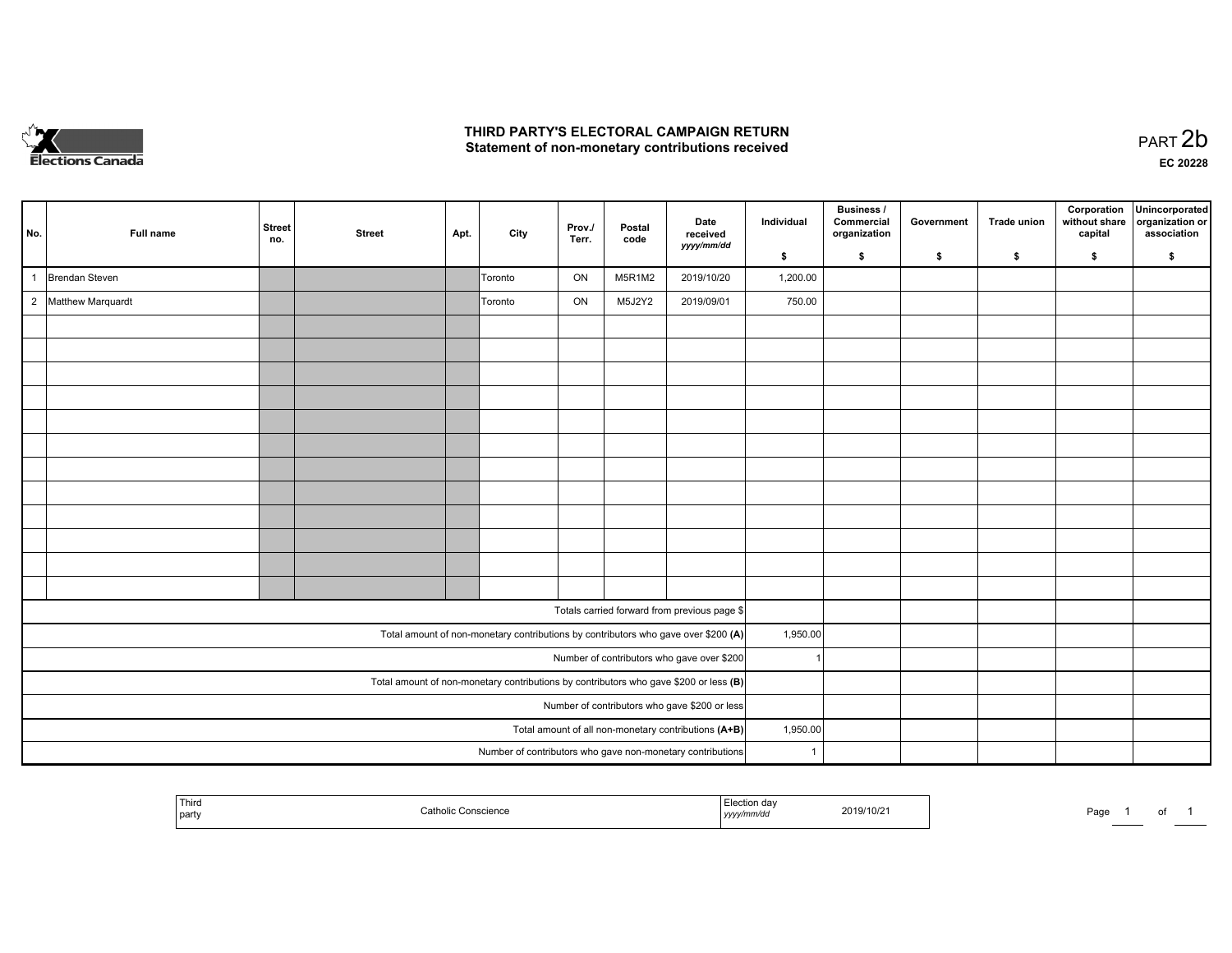

## **THIRD PARTY'S ELECTORAL CAMPAIGN RETURN**  THIRD PARTY'S ELECTORAL CAMPAIGN RETURN<br>Statement of non-monetary contributions received<br> **PART 2**b

|                                                                                         | No.                                                    | Full name           | <b>Street</b><br>no. | <b>Street</b> | Apt. | City    | Prov./<br>Terr. | Postal<br>code | Date<br>received                                                                   | Individual           | Business /<br>Commercial<br>organization | Government | <b>Trade union</b> | Corporation<br>without share<br>capital | Unincorporated<br>organization or<br>association |
|-----------------------------------------------------------------------------------------|--------------------------------------------------------|---------------------|----------------------|---------------|------|---------|-----------------|----------------|------------------------------------------------------------------------------------|----------------------|------------------------------------------|------------|--------------------|-----------------------------------------|--------------------------------------------------|
|                                                                                         |                                                        |                     |                      |               |      |         |                 |                | yyyy/mm/dd                                                                         | \$                   | \$                                       | \$         | $\sqrt{2}$         | \$                                      | \$                                               |
|                                                                                         |                                                        | Brendan Steven      |                      |               |      | Toronto | ON              | M5R1M2         | 2019/10/20                                                                         | 1,200.00             |                                          |            |                    |                                         |                                                  |
|                                                                                         |                                                        | 2 Matthew Marquardt |                      |               |      | Toronto | ON              | M5J2Y2         | 2019/09/01                                                                         | 750.00               |                                          |            |                    |                                         |                                                  |
|                                                                                         |                                                        |                     |                      |               |      |         |                 |                |                                                                                    |                      |                                          |            |                    |                                         |                                                  |
|                                                                                         |                                                        |                     |                      |               |      |         |                 |                |                                                                                    |                      |                                          |            |                    |                                         |                                                  |
|                                                                                         |                                                        |                     |                      |               |      |         |                 |                |                                                                                    |                      |                                          |            |                    |                                         |                                                  |
|                                                                                         |                                                        |                     |                      |               |      |         |                 |                |                                                                                    |                      |                                          |            |                    |                                         |                                                  |
|                                                                                         |                                                        |                     |                      |               |      |         |                 |                |                                                                                    |                      |                                          |            |                    |                                         |                                                  |
|                                                                                         |                                                        |                     |                      |               |      |         |                 |                |                                                                                    |                      |                                          |            |                    |                                         |                                                  |
|                                                                                         |                                                        |                     |                      |               |      |         |                 |                |                                                                                    |                      |                                          |            |                    |                                         |                                                  |
|                                                                                         |                                                        |                     |                      |               |      |         |                 |                |                                                                                    |                      |                                          |            |                    |                                         |                                                  |
|                                                                                         |                                                        |                     |                      |               |      |         |                 |                |                                                                                    |                      |                                          |            |                    |                                         |                                                  |
|                                                                                         |                                                        |                     |                      |               |      |         |                 |                |                                                                                    |                      |                                          |            |                    |                                         |                                                  |
|                                                                                         |                                                        |                     |                      |               |      |         |                 |                |                                                                                    |                      |                                          |            |                    |                                         |                                                  |
|                                                                                         |                                                        |                     |                      |               |      |         |                 |                |                                                                                    |                      |                                          |            |                    |                                         |                                                  |
|                                                                                         |                                                        |                     |                      |               |      |         |                 |                | Totals carried forward from previous page \$                                       |                      |                                          |            |                    |                                         |                                                  |
|                                                                                         |                                                        |                     |                      |               |      |         |                 |                | Total amount of non-monetary contributions by contributors who gave over \$200 (A) | 1,950.00             |                                          |            |                    |                                         |                                                  |
| Number of contributors who gave over \$200                                              |                                                        |                     |                      |               |      |         |                 |                |                                                                                    |                      |                                          |            |                    |                                         |                                                  |
| Total amount of non-monetary contributions by contributors who gave \$200 or less $(B)$ |                                                        |                     |                      |               |      |         |                 |                |                                                                                    |                      |                                          |            |                    |                                         |                                                  |
|                                                                                         | Number of contributors who gave \$200 or less          |                     |                      |               |      |         |                 |                |                                                                                    |                      |                                          |            |                    |                                         |                                                  |
|                                                                                         | Total amount of all non-monetary contributions $(A+B)$ |                     |                      |               |      |         |                 |                |                                                                                    | 1,950.00             |                                          |            |                    |                                         |                                                  |
|                                                                                         |                                                        |                     |                      |               |      |         |                 |                | Number of contributors who gave non-monetary contributions                         | $\blacktriangleleft$ |                                          |            |                    |                                         |                                                  |

|  | Third<br>party | Conscience<br>$\sim$ ntholis. | un uav<br>,,,,<br>$\sim$ $\sim$ | 2019/10/2 | Page |  | ັບເ |  |
|--|----------------|-------------------------------|---------------------------------|-----------|------|--|-----|--|
|--|----------------|-------------------------------|---------------------------------|-----------|------|--|-----|--|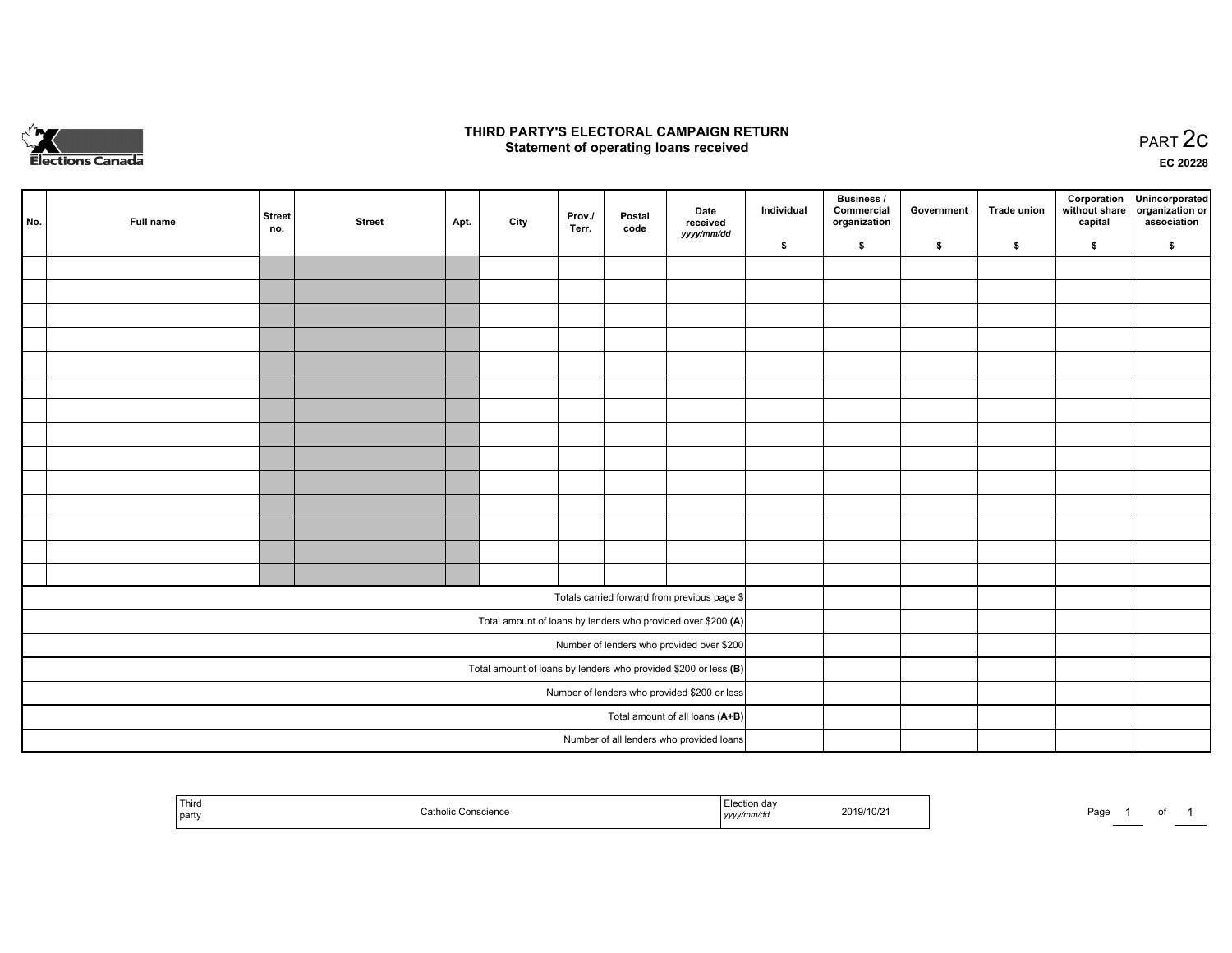

## **THIRD PARTY'S ELECTORAL CAMPAIGN RETURN STATE:** PRACT OF OPPRESS TO PART 2C STATE STATE STATE STATE STATE STATE STATE STATE STATE STATE STATE STATE STA<br>PART 2C Statement of operating loans received

**EC 20228**

|                                                                 | No.                                          | Full name | <b>Street</b><br>no. | <b>Street</b> | Apt. | City | Prov./<br>Terr. | Postal<br>code | Date<br>received                                             | Individual | <b>Business /</b><br>Commercial<br>organization | Government | <b>Trade union</b> | Corporation<br>capital | Unincorporated<br>without share organization or<br>association |
|-----------------------------------------------------------------|----------------------------------------------|-----------|----------------------|---------------|------|------|-----------------|----------------|--------------------------------------------------------------|------------|-------------------------------------------------|------------|--------------------|------------------------|----------------------------------------------------------------|
|                                                                 |                                              |           |                      |               |      |      |                 |                | yyyy/mm/dd                                                   | \$         | \$                                              | \$         | \$                 | \$                     | \$                                                             |
|                                                                 |                                              |           |                      |               |      |      |                 |                |                                                              |            |                                                 |            |                    |                        |                                                                |
|                                                                 |                                              |           |                      |               |      |      |                 |                |                                                              |            |                                                 |            |                    |                        |                                                                |
|                                                                 |                                              |           |                      |               |      |      |                 |                |                                                              |            |                                                 |            |                    |                        |                                                                |
|                                                                 |                                              |           |                      |               |      |      |                 |                |                                                              |            |                                                 |            |                    |                        |                                                                |
|                                                                 |                                              |           |                      |               |      |      |                 |                |                                                              |            |                                                 |            |                    |                        |                                                                |
|                                                                 |                                              |           |                      |               |      |      |                 |                |                                                              |            |                                                 |            |                    |                        |                                                                |
|                                                                 |                                              |           |                      |               |      |      |                 |                |                                                              |            |                                                 |            |                    |                        |                                                                |
|                                                                 |                                              |           |                      |               |      |      |                 |                |                                                              |            |                                                 |            |                    |                        |                                                                |
|                                                                 |                                              |           |                      |               |      |      |                 |                |                                                              |            |                                                 |            |                    |                        |                                                                |
|                                                                 |                                              |           |                      |               |      |      |                 |                |                                                              |            |                                                 |            |                    |                        |                                                                |
|                                                                 |                                              |           |                      |               |      |      |                 |                |                                                              |            |                                                 |            |                    |                        |                                                                |
|                                                                 |                                              |           |                      |               |      |      |                 |                |                                                              |            |                                                 |            |                    |                        |                                                                |
|                                                                 |                                              |           |                      |               |      |      |                 |                |                                                              |            |                                                 |            |                    |                        |                                                                |
|                                                                 |                                              |           |                      |               |      |      |                 |                |                                                              |            |                                                 |            |                    |                        |                                                                |
|                                                                 |                                              |           |                      |               |      |      |                 |                | Totals carried forward from previous page \$                 |            |                                                 |            |                    |                        |                                                                |
|                                                                 |                                              |           |                      |               |      |      |                 |                | Total amount of loans by lenders who provided over \$200 (A) |            |                                                 |            |                    |                        |                                                                |
| Number of lenders who provided over \$200                       |                                              |           |                      |               |      |      |                 |                |                                                              |            |                                                 |            |                    |                        |                                                                |
| Total amount of loans by lenders who provided \$200 or less (B) |                                              |           |                      |               |      |      |                 |                |                                                              |            |                                                 |            |                    |                        |                                                                |
|                                                                 | Number of lenders who provided \$200 or less |           |                      |               |      |      |                 |                |                                                              |            |                                                 |            |                    |                        |                                                                |
|                                                                 | Total amount of all loans (A+B)              |           |                      |               |      |      |                 |                |                                                              |            |                                                 |            |                    |                        |                                                                |
|                                                                 |                                              |           |                      |               |      |      |                 |                | Number of all lenders who provided loans                     |            |                                                 |            |                    |                        |                                                                |

| ' Thira<br>part | on dav<br>2019/10/2<br>,,,,, | Pagu |
|-----------------|------------------------------|------|
|-----------------|------------------------------|------|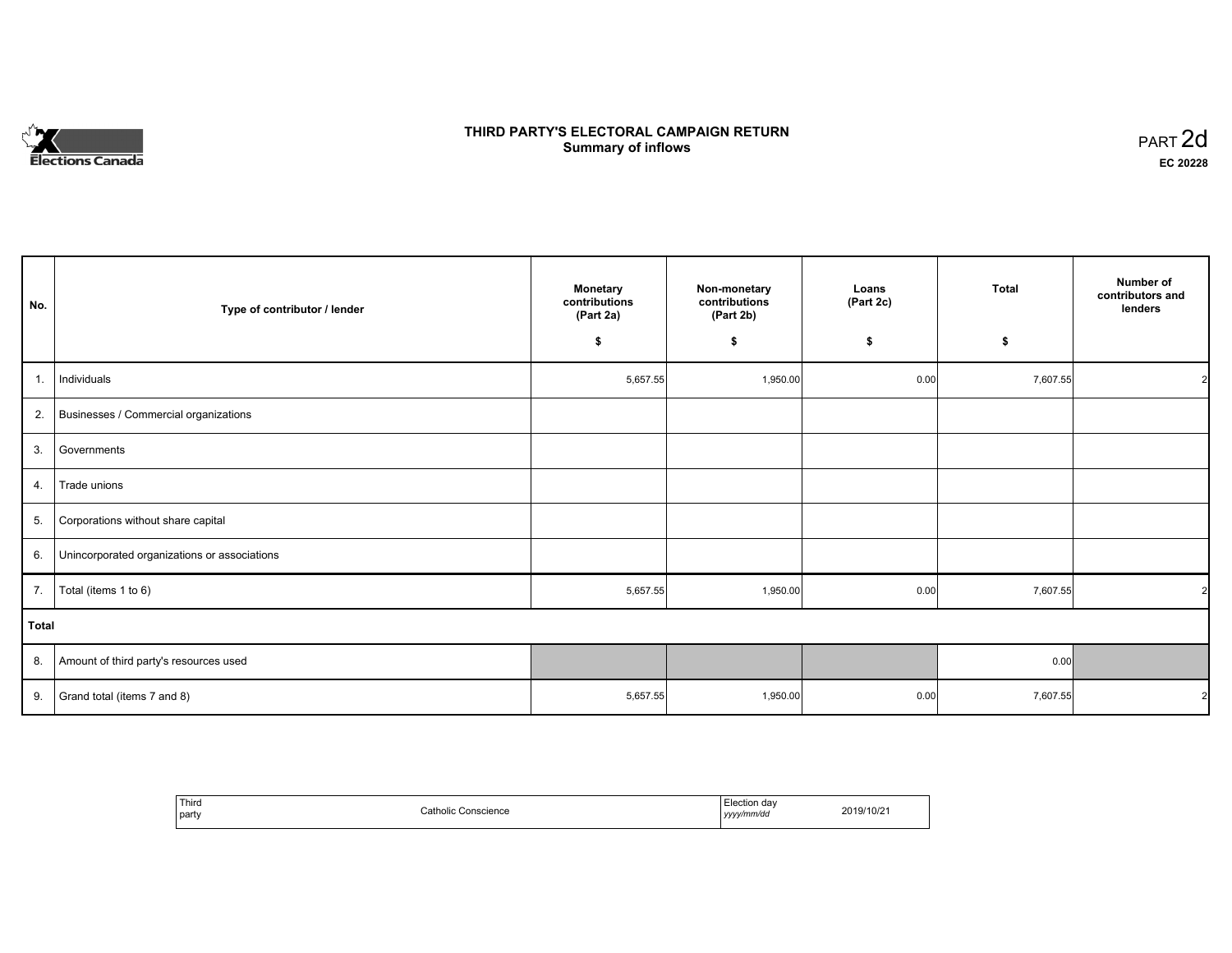# **Elections Canada**

# **THIRD PARTY'S ELECTORAL CAMPAIGN RETURN Summary of inflows**

| PART <sub>2d</sub> |  |
|--------------------|--|
| EC 20228           |  |

| No.          | Type of contributor / lender                 | <b>Monetary</b><br>contributions<br>(Part 2a) | Non-monetary<br>contributions<br>(Part 2b) | Loans<br>(Part 2c) | Total    | Number of<br>contributors and<br>lenders |
|--------------|----------------------------------------------|-----------------------------------------------|--------------------------------------------|--------------------|----------|------------------------------------------|
|              |                                              | \$                                            | \$                                         | \$                 | \$       |                                          |
| 1.           | Individuals                                  | 5,657.55                                      | 1,950.00                                   | 0.00               | 7,607.55 |                                          |
| 2.           | Businesses / Commercial organizations        |                                               |                                            |                    |          |                                          |
| 3.           | Governments                                  |                                               |                                            |                    |          |                                          |
| 4.           | Trade unions                                 |                                               |                                            |                    |          |                                          |
| 5.           | Corporations without share capital           |                                               |                                            |                    |          |                                          |
| 6.           | Unincorporated organizations or associations |                                               |                                            |                    |          |                                          |
| 7.           | Total (items 1 to 6)                         | 5,657.55                                      | 1,950.00                                   | 0.00               | 7,607.55 |                                          |
| <b>Total</b> |                                              |                                               |                                            |                    |          |                                          |
| 8.           | Amount of third party's resources used       |                                               |                                            |                    | 0.00     |                                          |
| 9.           | Grand total (items 7 and 8)                  | 5,657.55                                      | 1,950.00                                   | 0.00               | 7,607.55 |                                          |

| Third | Catholic   | Election day | 2019/10/21 |
|-------|------------|--------------|------------|
| party | Conscience | yyyy/mm/dd   |            |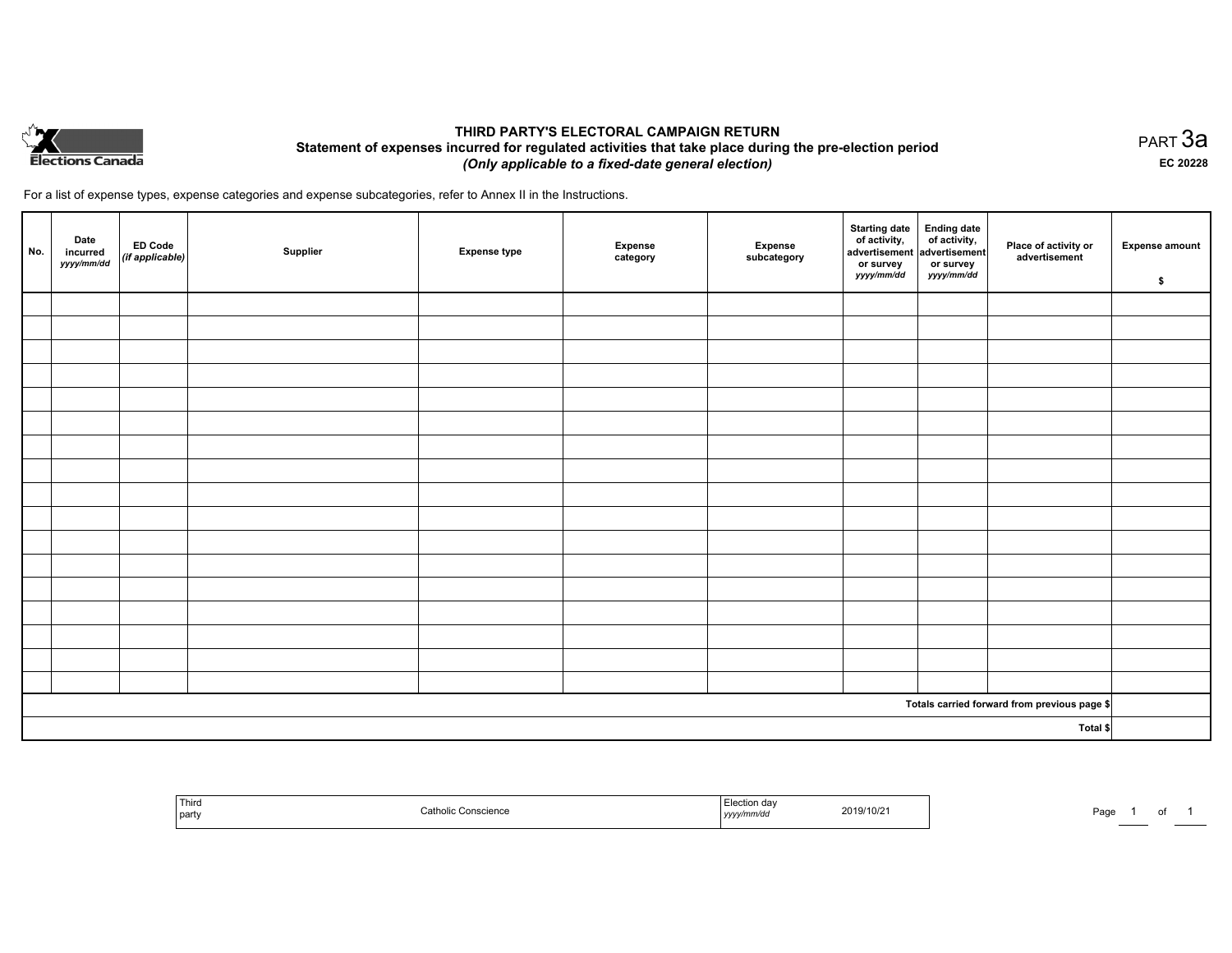

# **THIRD PARTY'S ELECTORAL CAMPAIGN RETURN Statement of expenses incurred for regulated activities that take place during the pre-election period**  *(Only applicable to a fixed-date general election)*

For a list of expense types, expense categories and expense subcategories, refer to Annex II in the Instructions.

| No.      | Date<br>incurred<br>yyyy/mm/dd | ED Code<br>(if applicable) | Supplier | <b>Expense type</b> | <b>Expense</b><br>category | Expense<br>subcategory | Starting date<br>of activity,<br>advertisement<br>or survey<br>yyyy/mm/dd | Ending date<br>of activity,<br>advertisement<br>or survey<br>yyyy/mm/dd | Place of activity or<br>advertisement        | <b>Expense amount</b><br>\$ |
|----------|--------------------------------|----------------------------|----------|---------------------|----------------------------|------------------------|---------------------------------------------------------------------------|-------------------------------------------------------------------------|----------------------------------------------|-----------------------------|
|          |                                |                            |          |                     |                            |                        |                                                                           |                                                                         |                                              |                             |
|          |                                |                            |          |                     |                            |                        |                                                                           |                                                                         |                                              |                             |
|          |                                |                            |          |                     |                            |                        |                                                                           |                                                                         |                                              |                             |
|          |                                |                            |          |                     |                            |                        |                                                                           |                                                                         |                                              |                             |
|          |                                |                            |          |                     |                            |                        |                                                                           |                                                                         |                                              |                             |
|          |                                |                            |          |                     |                            |                        |                                                                           |                                                                         |                                              |                             |
|          |                                |                            |          |                     |                            |                        |                                                                           |                                                                         |                                              |                             |
|          |                                |                            |          |                     |                            |                        |                                                                           |                                                                         |                                              |                             |
|          |                                |                            |          |                     |                            |                        |                                                                           |                                                                         |                                              |                             |
|          |                                |                            |          |                     |                            |                        |                                                                           |                                                                         |                                              |                             |
|          |                                |                            |          |                     |                            |                        |                                                                           |                                                                         |                                              |                             |
|          |                                |                            |          |                     |                            |                        |                                                                           |                                                                         |                                              |                             |
|          |                                |                            |          |                     |                            |                        |                                                                           |                                                                         |                                              |                             |
|          |                                |                            |          |                     |                            |                        |                                                                           |                                                                         |                                              |                             |
|          |                                |                            |          |                     |                            |                        |                                                                           |                                                                         |                                              |                             |
|          |                                |                            |          |                     |                            |                        |                                                                           |                                                                         |                                              |                             |
|          |                                |                            |          |                     |                            |                        |                                                                           |                                                                         |                                              |                             |
|          |                                |                            |          |                     |                            |                        |                                                                           |                                                                         | Totals carried forward from previous page \$ |                             |
| Total \$ |                                |                            |          |                     |                            |                        |                                                                           |                                                                         |                                              |                             |

| Third<br>  party | <b>Patholic Conscience</b> | Election day<br>2019/10/2<br>.<br>yyyy/mm/dd | Page<br>. . |
|------------------|----------------------------|----------------------------------------------|-------------|
|------------------|----------------------------|----------------------------------------------|-------------|

PART 3a **EC 20228**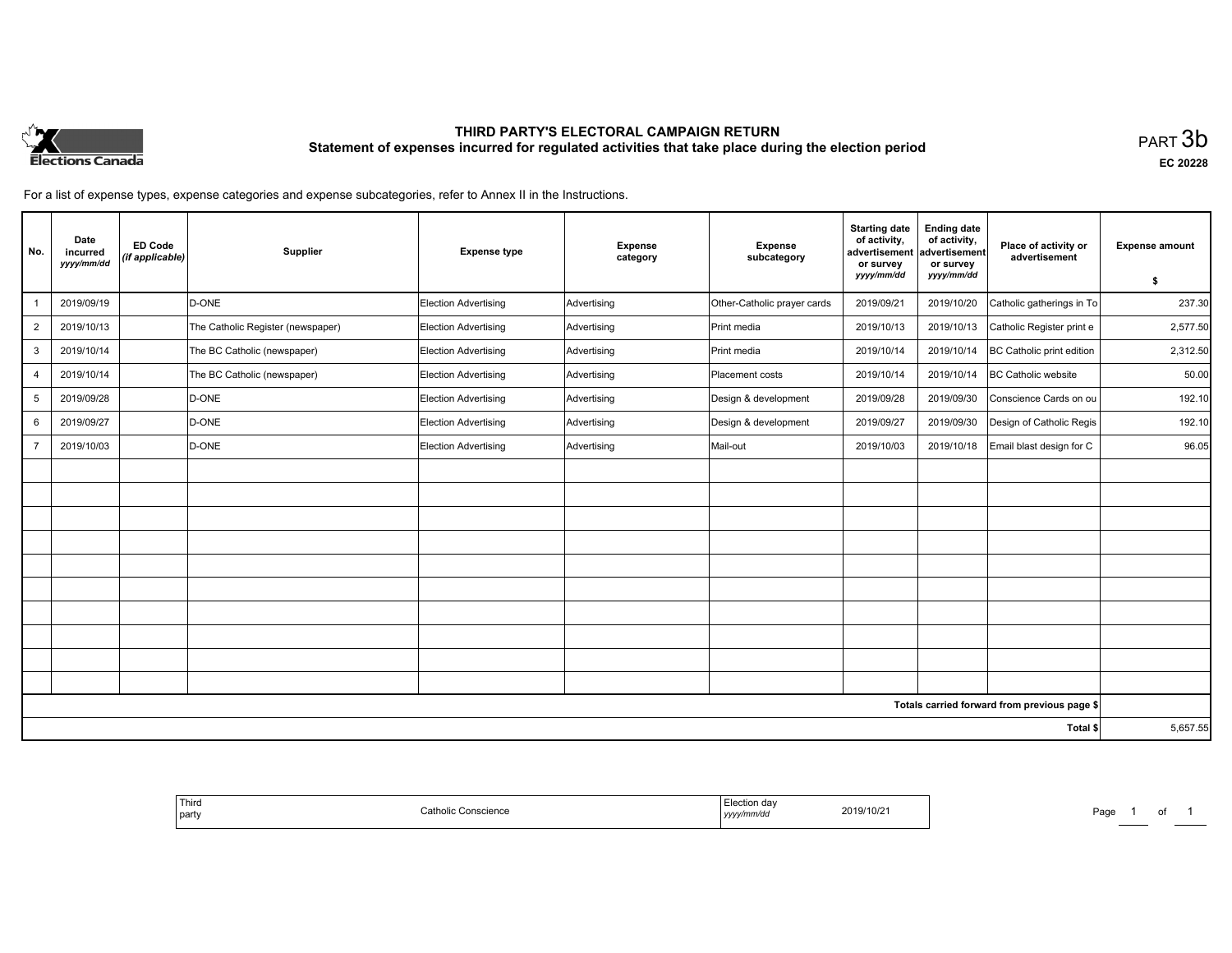

# **THIRD PARTY'S ELECTORAL CAMPAIGN RETURN Statement of expenses incurred for regulated activities that take place during the election period**<br>PART  $3\mathsf{b}$

**EC 20228**

For a list of expense types, expense categories and expense subcategories, refer to Annex II in the Instructions.

| No.            | Date<br>incurred<br>yyyy/mm/dd | <b>ED Code</b><br>(if applicable) | Supplier                          | <b>Expense type</b>  | <b>Expense</b><br>category | <b>Expense</b><br>subcategory | <b>Starting date</b><br>of activity,<br>advertisement<br>or survey<br>yyyy/mm/dd | <b>Ending date</b><br>of activity,<br>advertisement<br>or survey<br>yyyy/mm/dd | Place of activity or<br>advertisement        | <b>Expense amount</b><br>\$ |
|----------------|--------------------------------|-----------------------------------|-----------------------------------|----------------------|----------------------------|-------------------------------|----------------------------------------------------------------------------------|--------------------------------------------------------------------------------|----------------------------------------------|-----------------------------|
|                | 2019/09/19                     |                                   | D-ONE                             | Election Advertising | Advertising                | Other-Catholic prayer cards   | 2019/09/21                                                                       | 2019/10/20                                                                     | Catholic gatherings in To                    | 237.30                      |
| $\overline{2}$ | 2019/10/13                     |                                   | The Catholic Register (newspaper) | Election Advertising | Advertising                | <b>Print media</b>            | 2019/10/13                                                                       | 2019/10/13                                                                     | Catholic Register print e                    | 2,577.50                    |
| 3              | 2019/10/14                     |                                   | The BC Catholic (newspaper)       | Election Advertising | Advertising                | Print media                   | 2019/10/14                                                                       | 2019/10/14                                                                     | BC Catholic print edition                    | 2,312.50                    |
| 4              | 2019/10/14                     |                                   | The BC Catholic (newspaper)       | Election Advertising | Advertising                | Placement costs               | 2019/10/14                                                                       | 2019/10/14                                                                     | <b>BC Catholic website</b>                   | 50.00                       |
| 5              | 2019/09/28                     |                                   | D-ONE                             | Election Advertising | Advertising                | Design & development          | 2019/09/28                                                                       | 2019/09/30                                                                     | Conscience Cards on ou                       | 192.10                      |
| 6              | 2019/09/27                     |                                   | D-ONE                             | Election Advertising | Advertising                | Design & development          | 2019/09/27                                                                       | 2019/09/30                                                                     | Design of Catholic Regis                     | 192.10                      |
|                | 2019/10/03                     |                                   | D-ONE                             | Election Advertising | Advertising                | Mail-out                      | 2019/10/03                                                                       | 2019/10/18                                                                     | Email blast design for C                     | 96.05                       |
|                |                                |                                   |                                   |                      |                            |                               |                                                                                  |                                                                                |                                              |                             |
|                |                                |                                   |                                   |                      |                            |                               |                                                                                  |                                                                                |                                              |                             |
|                |                                |                                   |                                   |                      |                            |                               |                                                                                  |                                                                                |                                              |                             |
|                |                                |                                   |                                   |                      |                            |                               |                                                                                  |                                                                                |                                              |                             |
|                |                                |                                   |                                   |                      |                            |                               |                                                                                  |                                                                                |                                              |                             |
|                |                                |                                   |                                   |                      |                            |                               |                                                                                  |                                                                                |                                              |                             |
|                |                                |                                   |                                   |                      |                            |                               |                                                                                  |                                                                                |                                              |                             |
|                |                                |                                   |                                   |                      |                            |                               |                                                                                  |                                                                                |                                              |                             |
|                |                                |                                   |                                   |                      |                            |                               |                                                                                  |                                                                                |                                              |                             |
|                |                                |                                   |                                   |                      |                            |                               |                                                                                  |                                                                                |                                              |                             |
|                |                                |                                   |                                   |                      |                            |                               |                                                                                  |                                                                                | Totals carried forward from previous page \$ |                             |
| Total \$       |                                |                                   |                                   |                      |                            |                               | 5,657.55                                                                         |                                                                                |                                              |                             |

| ection da<br>2019/10/21<br>yyyy/mm/dd | ' Third<br>∴atholic<br>Conscience<br>party |
|---------------------------------------|--------------------------------------------|
|---------------------------------------|--------------------------------------------|

Page 1 of 1